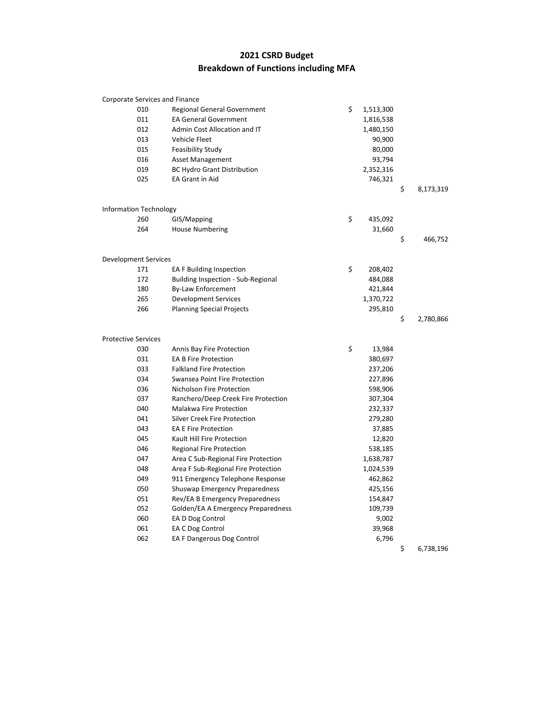## **2021 CSRD Budget Breakdown of Functions including MFA**

|                            | Corporate Services and Finance |                                     |                 |                 |
|----------------------------|--------------------------------|-------------------------------------|-----------------|-----------------|
|                            | 010                            | <b>Regional General Government</b>  | \$<br>1,513,300 |                 |
|                            | 011                            | <b>EA General Government</b>        | 1,816,538       |                 |
|                            | 012                            | Admin Cost Allocation and IT        | 1,480,150       |                 |
|                            | 013                            | <b>Vehicle Fleet</b>                | 90,900          |                 |
|                            | 015                            | <b>Feasibility Study</b>            | 80,000          |                 |
|                            | 016                            | <b>Asset Management</b>             | 93,794          |                 |
|                            | 019                            | <b>BC Hydro Grant Distribution</b>  | 2,352,316       |                 |
|                            | 025                            | EA Grant in Aid                     | 746,321         |                 |
|                            |                                |                                     |                 | \$<br>8,173,319 |
|                            | <b>Information Technology</b>  |                                     |                 |                 |
|                            | 260                            | GIS/Mapping                         | \$<br>435,092   |                 |
|                            | 264                            | <b>House Numbering</b>              | 31,660          |                 |
|                            |                                |                                     |                 | \$<br>466,752   |
|                            |                                |                                     |                 |                 |
|                            | <b>Development Services</b>    |                                     |                 |                 |
|                            | 171                            | <b>EA F Building Inspection</b>     | \$<br>208,402   |                 |
|                            | 172                            | Building Inspection - Sub-Regional  | 484,088         |                 |
|                            | 180                            | By-Law Enforcement                  | 421,844         |                 |
|                            | 265                            | <b>Development Services</b>         | 1,370,722       |                 |
|                            | 266                            | <b>Planning Special Projects</b>    | 295,810         |                 |
|                            |                                |                                     |                 | \$<br>2,780,866 |
| <b>Protective Services</b> |                                |                                     |                 |                 |
|                            | 030                            | Annis Bay Fire Protection           | \$<br>13,984    |                 |
|                            | 031                            | <b>EA B Fire Protection</b>         | 380,697         |                 |
|                            | 033                            | <b>Falkland Fire Protection</b>     | 237,206         |                 |
|                            | 034                            | Swansea Point Fire Protection       | 227,896         |                 |
|                            | 036                            | Nicholson Fire Protection           | 598,906         |                 |
|                            | 037                            | Ranchero/Deep Creek Fire Protection | 307,304         |                 |
|                            | 040                            | Malakwa Fire Protection             | 232,337         |                 |
|                            | 041                            | Silver Creek Fire Protection        | 279,280         |                 |
|                            | 043                            | <b>EA E Fire Protection</b>         | 37,885          |                 |
|                            | 045                            | Kault Hill Fire Protection          | 12,820          |                 |
|                            | 046                            | <b>Regional Fire Protection</b>     | 538,185         |                 |
|                            | 047                            | Area C Sub-Regional Fire Protection | 1,638,787       |                 |
|                            | 048                            | Area F Sub-Regional Fire Protection | 1,024,539       |                 |
|                            | 049                            | 911 Emergency Telephone Response    | 462,862         |                 |
|                            | 050                            | Shuswap Emergency Preparedness      | 425,156         |                 |
|                            | 051                            | Rev/EA B Emergency Preparedness     | 154,847         |                 |
|                            | 052                            | Golden/EA A Emergency Preparedness  | 109,739         |                 |
|                            | 060                            | EA D Dog Control                    | 9,002           |                 |
|                            | 061                            | EA C Dog Control                    | 39,968          |                 |
|                            | 062                            | EA F Dangerous Dog Control          | 6,796           |                 |
|                            |                                |                                     |                 | \$<br>6,738,196 |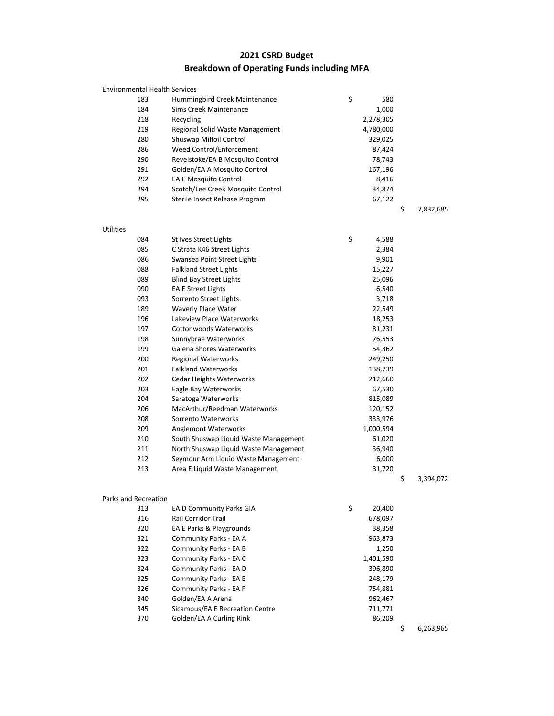## **2021 CSRD Budget Breakdown of Operating Funds including MFA**

|                  | <b>Environmental Health Services</b> |                                       |             |                 |
|------------------|--------------------------------------|---------------------------------------|-------------|-----------------|
|                  | 183                                  | Hummingbird Creek Maintenance         | \$<br>580   |                 |
|                  | 184                                  | Sims Creek Maintenance                | 1,000       |                 |
|                  | 218                                  | Recycling                             | 2,278,305   |                 |
|                  | 219                                  | Regional Solid Waste Management       | 4,780,000   |                 |
|                  | 280                                  | Shuswap Milfoil Control               | 329,025     |                 |
|                  | 286                                  | Weed Control/Enforcement              | 87,424      |                 |
|                  | 290                                  | Revelstoke/EA B Mosquito Control      | 78,743      |                 |
|                  | 291                                  | Golden/EA A Mosquito Control          | 167,196     |                 |
|                  | 292                                  | <b>EA E Mosquito Control</b>          | 8,416       |                 |
|                  | 294                                  | Scotch/Lee Creek Mosquito Control     | 34,874      |                 |
|                  | 295                                  | Sterile Insect Release Program        | 67,122      |                 |
|                  |                                      |                                       |             | \$<br>7,832,685 |
| <b>Utilities</b> |                                      |                                       |             |                 |
|                  | 084                                  | St Ives Street Lights                 | \$<br>4,588 |                 |
|                  | 085                                  | C Strata K46 Street Lights            | 2,384       |                 |
|                  | 086                                  | Swansea Point Street Lights           | 9,901       |                 |
|                  | 088                                  | <b>Falkland Street Lights</b>         | 15,227      |                 |
|                  | 089                                  | <b>Blind Bay Street Lights</b>        | 25,096      |                 |
|                  | 090                                  | <b>EA E Street Lights</b>             | 6,540       |                 |
|                  | 093                                  | Sorrento Street Lights                | 3,718       |                 |
|                  | 189                                  | Waverly Place Water                   | 22,549      |                 |
|                  | 196                                  | Lakeview Place Waterworks             | 18,253      |                 |
|                  | 197                                  | <b>Cottonwoods Waterworks</b>         | 81,231      |                 |
|                  | 198                                  | Sunnybrae Waterworks                  | 76,553      |                 |
|                  | 199                                  | Galena Shores Waterworks              | 54,362      |                 |
|                  | 200                                  | <b>Regional Waterworks</b>            | 249,250     |                 |
|                  | 201                                  | <b>Falkland Waterworks</b>            | 138,739     |                 |
|                  | 202                                  | <b>Cedar Heights Waterworks</b>       | 212,660     |                 |
|                  | 203                                  | Eagle Bay Waterworks                  | 67,530      |                 |
|                  | 204                                  | Saratoga Waterworks                   | 815,089     |                 |
|                  | 206                                  | MacArthur/Reedman Waterworks          | 120,152     |                 |
|                  | 208                                  | Sorrento Waterworks                   | 333,976     |                 |
|                  | 209                                  | <b>Anglemont Waterworks</b>           | 1,000,594   |                 |
|                  | 210                                  | South Shuswap Liquid Waste Management | 61,020      |                 |
|                  | 211                                  | North Shuswap Liquid Waste Management | 36,940      |                 |
|                  | 212                                  | Seymour Arm Liquid Waste Management   | 6,000       |                 |
|                  | 213                                  | Area E Liquid Waste Management        | 31,720      |                 |
|                  |                                      |                                       |             | \$<br>3,394,072 |

## Parks and Recreation

| Recreation |                                 |              |   |          |
|------------|---------------------------------|--------------|---|----------|
| 313        | EA D Community Parks GIA        | \$<br>20,400 |   |          |
| 316        | <b>Rail Corridor Trail</b>      | 678,097      |   |          |
| 320        | EA E Parks & Playgrounds        | 38,358       |   |          |
| 321        | Community Parks - EA A          | 963,873      |   |          |
| 322        | Community Parks - EA B          | 1,250        |   |          |
| 323        | Community Parks - EA C          | 1,401,590    |   |          |
| 324        | Community Parks - EA D          | 396,890      |   |          |
| 325        | Community Parks - EA E          | 248,179      |   |          |
| 326        | Community Parks - EA F          | 754,881      |   |          |
| 340        | Golden/EA A Arena               | 962,467      |   |          |
| 345        | Sicamous/EA E Recreation Centre | 711,771      |   |          |
| 370        | Golden/EA A Curling Rink        | 86,209       |   |          |
|            |                                 |              | ÷ | c aca oc |

 $$ 6,263,965$